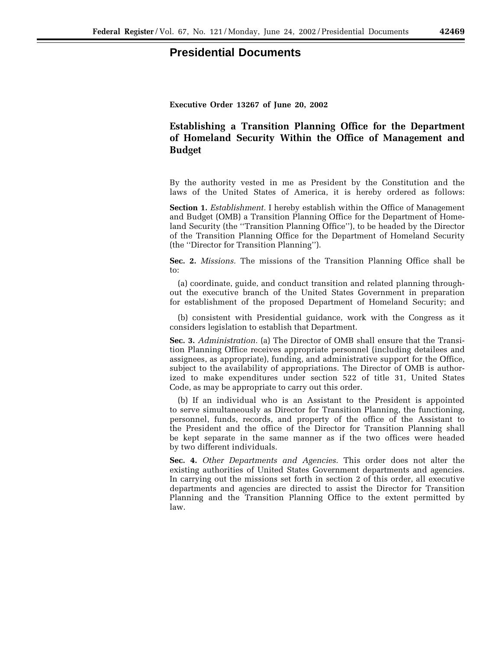## **Presidential Documents**

**Executive Order 13267 of June 20, 2002**

## **Establishing a Transition Planning Office for the Department of Homeland Security Within the Office of Management and Budget**

By the authority vested in me as President by the Constitution and the laws of the United States of America, it is hereby ordered as follows:

**Section 1.** *Establishment.* I hereby establish within the Office of Management and Budget (OMB) a Transition Planning Office for the Department of Homeland Security (the ''Transition Planning Office''), to be headed by the Director of the Transition Planning Office for the Department of Homeland Security (the ''Director for Transition Planning'').

**Sec. 2.** *Missions.* The missions of the Transition Planning Office shall be to:

(a) coordinate, guide, and conduct transition and related planning throughout the executive branch of the United States Government in preparation for establishment of the proposed Department of Homeland Security; and

(b) consistent with Presidential guidance, work with the Congress as it considers legislation to establish that Department.

**Sec. 3.** *Administration.* (a) The Director of OMB shall ensure that the Transition Planning Office receives appropriate personnel (including detailees and assignees, as appropriate), funding, and administrative support for the Office, subject to the availability of appropriations. The Director of OMB is authorized to make expenditures under section 522 of title 31, United States Code, as may be appropriate to carry out this order.

(b) If an individual who is an Assistant to the President is appointed to serve simultaneously as Director for Transition Planning, the functioning, personnel, funds, records, and property of the office of the Assistant to the President and the office of the Director for Transition Planning shall be kept separate in the same manner as if the two offices were headed by two different individuals.

**Sec. 4.** *Other Departments and Agencies.* This order does not alter the existing authorities of United States Government departments and agencies. In carrying out the missions set forth in section 2 of this order, all executive departments and agencies are directed to assist the Director for Transition Planning and the Transition Planning Office to the extent permitted by law.